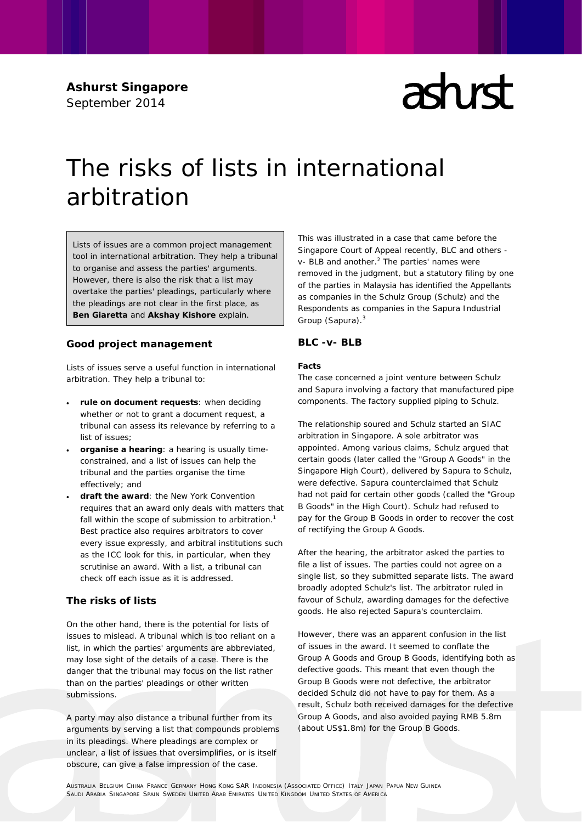**Ashurst Singapore** September 2014

# $\mathop{\mathrm{ad}}\nolimits$ rd

# The risks of lists in international arbitration

Lists of issues are a common project management tool in international arbitration. They help a tribunal to organise and assess the parties' arguments. However, there is also the risk that a list may overtake the parties' pleadings, particularly where the pleadings are not clear in the first place, as **Ben Giaretta** and **Akshay Kishore** explain.

## **Good project management**

Lists of issues serve a useful function in international arbitration. They help a tribunal to:

- **rule on document requests**: when deciding whether or not to grant a document request, a tribunal can assess its relevance by referring to a list of issues;
- **organise a hearing**: a hearing is usually timeconstrained, and a list of issues can help the tribunal and the parties organise the time effectively; and
- **draft the award**: the New York Convention requires that an award only deals with matters that fall within the scope of submission to arbitration.<sup>1</sup> Best practice also requires arbitrators to cover every issue expressly, and arbitral institutions such as the ICC look for this, in particular, when they scrutinise an award. With a list, a tribunal can check off each issue as it is addressed.

# **The risks of lists**

On the other hand, there is the potential for lists of issues to mislead. A tribunal which is too reliant on a list, in which the parties' arguments are abbreviated, may lose sight of the details of a case. There is the danger that the tribunal may focus on the list rather than on the parties' pleadings or other written submissions.

A party may also distance a tribunal further from its arguments by serving a list that compounds problems in its pleadings. Where pleadings are complex or unclear, a list of issues that oversimplifies, or is itself obscure, can give a false impression of the case.

This was illustrated in a case that came before the Singapore Court of Appeal recently, *BLC and others v- BLB and another*. <sup>2</sup> The parties' names were removed in the judgment, but a statutory filing by one of the parties in Malaysia has identified the Appellants as companies in the Schulz Group (Schulz) and the Respondents as companies in the Sapura Industrial Group (Sapura).<sup>3</sup>

## *BLC -v- BLB*

#### **Facts**

The case concerned a joint venture between Schulz and Sapura involving a factory that manufactured pipe components. The factory supplied piping to Schulz.

The relationship soured and Schulz started an SIAC arbitration in Singapore. A sole arbitrator was appointed. Among various claims, Schulz argued that certain goods (later called the "Group A Goods" in the Singapore High Court), delivered by Sapura to Schulz, were defective. Sapura counterclaimed that Schulz had not paid for certain other goods (called the "Group B Goods" in the High Court). Schulz had refused to pay for the Group B Goods in order to recover the cost of rectifying the Group A Goods.

After the hearing, the arbitrator asked the parties to file a list of issues. The parties could not agree on a single list, so they submitted separate lists. The award broadly adopted Schulz's list. The arbitrator ruled in favour of Schulz, awarding damages for the defective goods. He also rejected Sapura's counterclaim.

However, there was an apparent confusion in the list of issues in the award. It seemed to conflate the Group A Goods and Group B Goods, identifying both as defective goods. This meant that even though the Group B Goods were not defective, the arbitrator decided Schulz did not have to pay for them. As a result, Schulz both received damages for the defective Group A Goods, and also avoided paying RMB 5.8m (about US\$1.8m) for the Group B Goods.

AUSTRALIA BELGIUM CHINA FRANCE GERMANY HONG KONG SAR INDONESIA (ASSOCIATED OFFICE) ITALY JAPAN PAPUA NEW GUINEA SAUDI ARABIA SINGAPORE SPAIN SWEDEN UNITED ARAB EMIRATES UNITED KINGDOM UNITED STATES OF AMERICA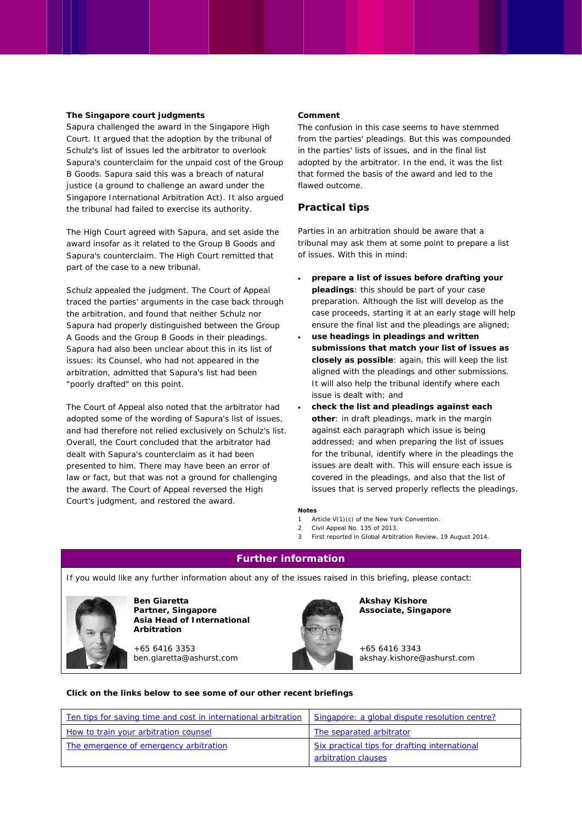#### **The Singapore court judgments**

Sapura challenged the award in the Singapore High Court. It argued that the adoption by the tribunal of Schulz's list of issues led the arbitrator to overlook Sapura's counterclaim for the unpaid cost of the Group B Goods. Sapura said this was a breach of natural justice (a ground to challenge an award under the Singapore International Arbitration Act). It also argued the tribunal had failed to exercise its authority.

The High Court agreed with Sapura, and set aside the award insofar as it related to the Group B Goods and Sapura's counterclaim. The High Court remitted that part of the case to a new tribunal.

Schulz appealed the judgment. The Court of Appeal traced the parties' arguments in the case back through the arbitration, and found that neither Schulz nor Sapura had properly distinguished between the Group A Goods and the Group B Goods in their pleadings. Sapura had also been unclear about this in its list of issues: its Counsel, who had not appeared in the arbitration, admitted that Sapura's list had been "poorly drafted" on this point.

The Court of Appeal also noted that the arbitrator had adopted some of the wording of Sapura's list of issues, and had therefore not relied exclusively on Schulz's list. Overall, the Court concluded that the arbitrator had dealt with Sapura's counterclaim as it had been presented to him. There may have been an error of law or fact, but that was not a ground for challenging the award. The Court of Appeal reversed the High Court's judgment, and restored the award.

#### **Comment**

The confusion in this case seems to have stemmed from the parties' pleadings. But this was compounded in the parties' lists of issues, and in the final list adopted by the arbitrator. In the end, it was the list that formed the basis of the award and led to the flawed outcome.

## **Practical tips**

Parties in an arbitration should be aware that a tribunal may ask them at some point to prepare a list of issues. With this in mind:

- **prepare a list of issues before drafting your pleadings**: this should be part of your case preparation. Although the list will develop as the case proceeds, starting it at an early stage will help ensure the final list and the pleadings are aligned;
- **use headings in pleadings and written submissions that match your list of issues as closely as possible**: again, this will keep the list aligned with the pleadings and other submissions. It will also help the tribunal identify where each issue is dealt with; and
- **check the list and pleadings against each other**: in draft pleadings, mark in the margin against each paragraph which issue is being addressed; and when preparing the list of issues for the tribunal, identify where in the pleadings the issues are dealt with. This will ensure each issue is covered in the pleadings, and also that the list of issues that is served properly reflects the pleadings.

#### **Notes**

- 1 Article V(1)(c) of the New York Convention.
- 2 Civil Appeal No. 135 of 2013.
- 3 First reported in *Global Arbitration Review*, 19 August 2014.

#### **Further information**

If you would like any further information about any of the issues raised in this briefing, please contact:



**Ben Giaretta Partner, Singapore Asia Head of International Arbitration**

+65 6416 3353 ben.giaretta@ashurst.com



**Akshay Kishore Associate, Singapore** 

+65 6416 3343 akshay.kishore@ashurst.com

#### *Click on the links below to see some of our other recent briefings*

| Ten tips for saving time and cost in international arbitration | Singapore: a global dispute resolution centre?                       |
|----------------------------------------------------------------|----------------------------------------------------------------------|
| How to train your arbitration counsel                          | The separated arbitrator                                             |
| The emergence of emergency arbitration                         | Six practical tips for drafting international<br>arbitration clauses |